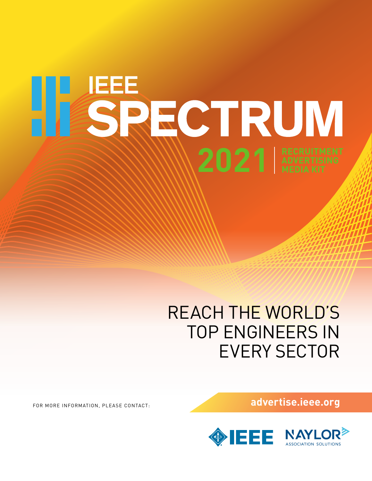# **2021 RECRUITMENT**

## REACH THE WORLD'S TOP ENGINEERS IN EVERY SECTOR

FOR MORE INFORMATION, PLEASE CONTACT: **advertise.ieee.org**



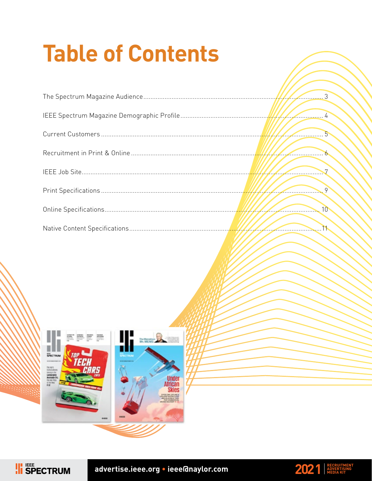# **Table of Contents**

| $\sqrt{2}$      |
|-----------------|
| $\overline{6}$  |
| $\sim$          |
|                 |
| 10 <sup>°</sup> |
|                 |



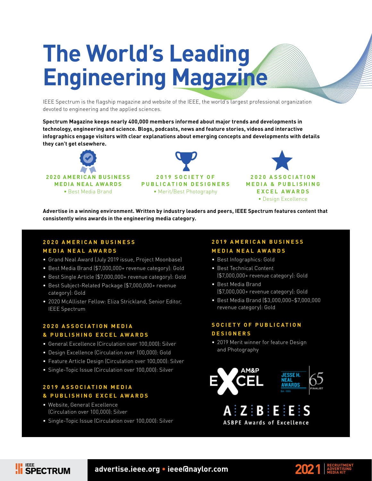# **The World's Leading Engineering Magazine**

IEEE Spectrum is the flagship magazine and website of the IEEE, the world's largest professional organization devoted to engineering and the applied sciences.

**Spectrum Magazine keeps nearly 400,000 members informed about major trends and developments in technology, engineering and science. Blogs, podcasts, news and feature stories, videos and interactive infographics engage visitors with clear explanations about emerging concepts and developments with details they can't get elsewhere.**







**Advertise in a winning environment. Written by industry leaders and peers, IEEE Spectrum features content that consistently wins awards in the engineering media category.**

#### **2020 AMERICAN BUSINESS MEDIA NEAL AWARDS**

- Grand Neal Award (July 2019 issue, Project Moonbase)
- Best Media Brand (\$7,000,000+ revenue category): Gold
- Best Single Article (\$7,000,000+ revenue category): Gold
- Best Subject-Related Package (\$7,000,000+ revenue category): Gold
- 2020 McAllister Fellow: Eliza Strickland, Senior Editor, IEEE Spectrum

#### **2020 ASSOCIATION MEDIA & PUBLISHING EXCEL AWARDS**

- General Excellence (Circulation over 100,000): Silver
- Design Excellence (Circulation over 100,000): Gold
- Feature Article Design (Circulation over 100,000): Silver
- Single-Topic Issue (Circulation over 100,000): Silver

#### **2019 ASSOCIATION MEDIA & PUBLISHING EXCEL AWARDS**

• Website, General Excellence (Circulation over 100,000): Silver

**FEE**<br>SPECTRUM

• Single-Topic Issue (Circulation over 100,000): Silver

#### **2019 AMERICAN BUSINESS MEDIA NEAL AWARDS**

- Best Infographics: Gold
- Best Technical Content (\$7,000,000+ revenue category): Gold
- Best Media Brand (\$7,000,000+ revenue category): Gold
- Best Media Brand (\$3,000,000–\$7,000,000 revenue category): Gold

#### **SOCIETY OF PUBLICATION DESIGNERS**

• 2019 Merit winner for feature Design and Photography

 $\mathbf{Z} \mathbf{B} \mathbf{B}$ 

**ASBPE Awards of Excellence** 



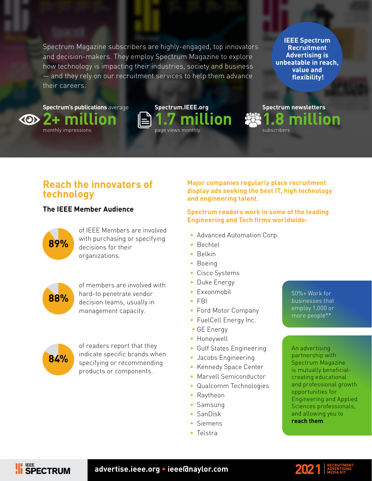Spectrum Magazine subscribers are highly-engaged, top innovators and decision-makers. They employ Spectrum Magazine to explore how technology is impacting their industries, society and business — and they rely on our recruitment services to help them advance their careers.

**IEEE Spectrum Recruitment Advertising is unbeatable in reach, value and flexibility!**

**Spectrum newsletters**

subscribers

**1.8 million**

**Spectrum's publications** average **2+ million**  $\langle 0 \rangle$ 

monthly impressions



#### **Reach the innovators of technology**

#### **The IEEE Member Audience**



of IEEE Members are involved with purchasing or specifying decisions for their organizations.



of members are involved with hard-to penetrate vendor decision teams, usually in management capacity.



of readers report that they indicate specific brands when specifying or recommending products or components.

**Major companies regularly place recruitment display ads seeking the best IT, high technology and engineering talent.**

#### **Spectrum readers work in some of the leading Engineering and Tech firms worldwide:**

- Advanced Automation Corp.
- Bechtel
- Belkin
- Boeing
- Cisco Systems
- Duke Energy
- Exxonmobil
- FBI
- Ford Motor Company
- FuelCell Energy Inc.
- GE Energy
- Honeywell
- Gulf States Engineering
- Jacobs Engineering
- Kennedy Space Center
- Marvell Semiconductor
- Qualcomm Technologies
- Raytheon
- Samsung
- SanDisk
- Siemens
- Telstra

50%+ Work for businesses that employ 1,000 or more people\*\*

An advertising partnership with Spectrum Magazine is mutually beneficialcreating educational and professional growth opportunities for Engineering and Applied Sciences professionals, and allowing you to **reach them**.



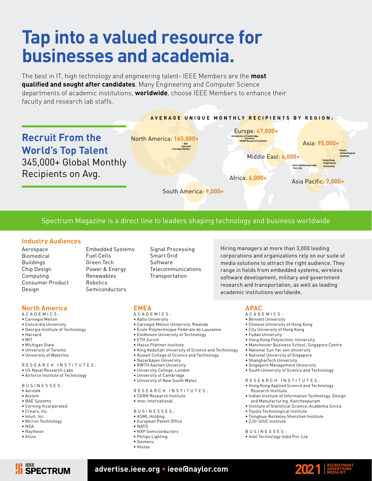## **Tap into a valued resource for businesses and academia.**

The best in IT, high technology and engineering talent- IEEE Members are the **most qualified and sought after candidates**. Many Engineering and Computer Science departments of academic institutions, **worldwide**, choose IEEE Members to enhance their faculty and research lab staffs.



#### Spectrum Magazine is a direct line to leaders shaping technology and business worldwide

#### **Industry Audiences**

- Aerospace Biomedical Buildings Chip Design Computing Consumer Product Design
- Embedded Systems Fuel Cells Green Tech Power & Energy Renewables Robotics Semiconductors

Signal Processing Smart Grid Software Telecommunications **Transportation** 

Hiring managers at more than 3,000 leading corporations and organizations rely on our suite of media solutions to attract the right audience. They range in fields from embedded systems, wireless software development, military and government research and transportation, as well as leading academic institutions worldwide.

#### **North America**

- A C A D E M I C S :
- Carnegie Mellon
- Concordia University
- Georgia Institute of Technology
- Harvard
- MIT
- Michigan State
- University of Toronto
- University of Waterloo

#### R E S E A R C H IN S T I T U T E S :

- US Naval Research Labs
- Airforce Institute of Technology

#### BUSINESSES:

- Aerotek
- Alstom
- BAE Systems
- Corning Incorporated
- Creare, Inc.
- Intuit, Inc.
- Micron Technology
- NSA
- Raytheon
- Xilinx

#### **EMEA**

- A C A D E M I C S : • Aalto University
- 
- Carnegie Mellon University, Rwanda
- École Polytechnique Fédérale de Lausanne
- Eindhoven University of Technology
- ETH Zurich
- Hasso Plattner Institute
- King Abdullah University of Science and Technology
- Kuwait College of Science and Technology
- Nazarbayev University
- RWTH Aachen University
- University College, London
- University of Cambridge
- University of New South Wales
- R E S E A R C H IN S T I T U T E S :
- CERN Research Institute
- imec International
- BUSINESSES:
- ASML Holding
- European Patent Office
- NATO
- NXP Semiconductors
- Philips Lighting
- Siemens
- Vestas

- **APAC** A C A D E M I C S :
- Bennett University
- Chinese University of Hong Kong
- City University of Hong Kong
- 
- Fudan University
- Hong Kong Polytechnic University • Manchester Business School, Singapore Centre
- 
- National Sun Yat-sen University
- National University of Singapore
- ShanghaiTech University
- Singapore Management University • South University of Science and Technology
- R E S E A R C H IN S T I T U T E S :
- Hong Kong Applied Science and Technology Research Institute
- Indian Institute of Information Technology, Design and Manufacturing, Kancheepuram
- Institute of Statistical Science, Academia Sinica
- Toyota Technological Institute • Tsinghua-Berkeley Shenzhen Institute
- ZJU-UIUC Institute
- BUSINESSES:
- Intel Technology India Pvt. Ltd.

**TEE** SPECTRUM

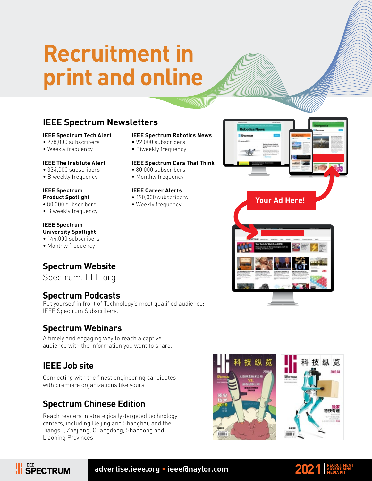## **Recruitment in print and online**

#### **IEEE Spectrum Newsletters**

#### **IEEE Spectrum Tech Alert**

- 278,000 subscribers
- Weekly frequency

#### **IEEE The Institute Alert**

- 334,000 subscribers
- Biweekly frequency

#### **IEEE Spectrum Product Spotlight**

- **•** 80,000 subscribers
- Biweekly frequency

#### **IEEE Spectrum University Spotlight**

• 144,000 subscribers

• Monthly frequency

#### **Spectrum Website**

Spectrum.IEEE.org

#### **Spectrum Podcasts**

Put yourself in front of Technology's most qualified audience: IEEE Spectrum Subscribers.

#### **Spectrum Webinars**

A timely and engaging way to reach a captive audience with the information you want to share.

#### **IEEE Job site**

**II** SPECTRUM

Connecting with the finest engineering candidates with premiere organizations like yours

#### **Spectrum Chinese Edition**

Reach readers in strategically-targeted technology centers, including Beijing and Shanghai, and the Jiangsu, Zhejiang, Guangdong, Shandong and Liaoning Provinces.

#### **IEEE Spectrum Robotics News**

- 92,000 subscribers
- Biweekly frequency

#### **IEEE Spectrum Cars That Think**

- 80,000 subscribers
- Monthly frequency

#### **IEEE Career Alerts**

- 190,000 subscribers
- Weekly frequency **Your Ad Here!**



**Silvectous** 



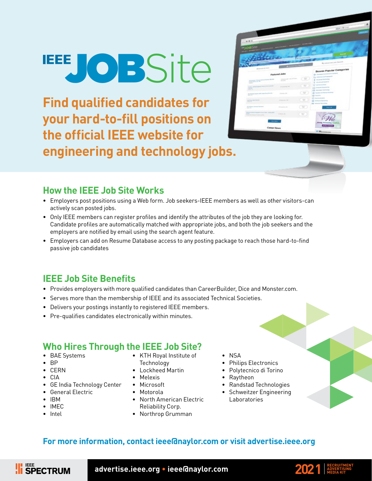# **LEEFJOBSite**

**Find qualified candidates for your hard-to-fill positions on the official IEEE website for engineering and technology jobs.**

| $-188$                                                                                                                     |                                                                |                                |                                                                             |
|----------------------------------------------------------------------------------------------------------------------------|----------------------------------------------------------------|--------------------------------|-----------------------------------------------------------------------------|
| <b>JOB</b> 40                                                                                                              | NAME AND DESCRIPTION OF PERSONS ASSESSED.                      |                                |                                                                             |
|                                                                                                                            |                                                                | <b>CP (City, Marts of Dig)</b> | <b>Canada</b>                                                               |
| <b>B</b> Anche Mi                                                                                                          |                                                                |                                | <b>IS, Askanson's July Stewarth</b>                                         |
| 20 Greenia Atlanta                                                                                                         | <b>A Great Ford Pro</b>                                        |                                | Browse Popular Categories                                                   |
|                                                                                                                            | Featured Jobs                                                  |                                | the increased with free core formers.                                       |
| the writer things became agent the big<br>police street at the<br><b>SERVICE</b>                                           | in Assessment Street, Square, Street Square,<br><b>Service</b> | $\overline{\mathbb{R}}$        | The department of the Property and<br>Q money believing<br>O montantiams    |
| <b>Sales</b><br><b>Contract Contract</b><br>ATTL: Artist Party Red<br>page of the C                                        | <b>Distances Mr.</b>                                           | $\equiv$                       | <b>SECURITY OF SALE</b><br>and President Engineering<br>E2 receive latentar |
| included twist are sureline beam.<br><b>STATISTICS</b>                                                                     | <b>STATES OF</b>                                               | $\sim$                         | (D. Noles publicity frames)<br>(b) homest                                   |
| <b>MARKET</b><br>an Francisco Variati<br><b>BANK COLD</b>                                                                  | Consulting City                                                | $\equiv$                       | $D$ increases<br><b>G</b> Information of<br>All records between 1970        |
| the form or contrast Garment<br>$-10.5$                                                                                    | School Ltd.                                                    | ₩                              | <b>Course</b> Add                                                           |
| <b>CONTRACTOR</b><br>Don't be a change of a line land set-<br><b>SHOP</b><br>The party of the American company of the<br>. | School St.                                                     | $\equiv$                       |                                                                             |
|                                                                                                                            |                                                                |                                |                                                                             |

#### **How the IEEE Job Site Works**

- Employers post positions using a Web form. Job seekers-IEEE members as well as other visitors-can actively scan posted jobs.
- Only IEEE members can register profiles and identify the attributes of the job they are looking for. Candidate profiles are automatically matched with appropriate jobs, and both the job seekers and the employers are notified by email using the search agent feature.
- Employers can add on Resume Database access to any posting package to reach those hard-to-find passive job candidates

#### **IEEE Job Site Benefits**

- Provides employers with more qualified candidates than CareerBuilder, Dice and Monster.com.
- Serves more than the membership of IEEE and its associated Technical Societies.
- Delivers your postings instantly to registered IEEE members.
- Pre-qualifies candidates electronically within minutes.

#### **Who Hires Through the IEEE Job Site?**

- BAE Systems
- BP
- CERN
- CIA
- GE India Technology Center • General Electric
- IBM
- IMEC
- Intel
- KTH Royal Institute of Technology
- Lockheed Martin
- Melexis
- Microsoft
- Motorola
- North American Electric Reliability Corp.
- Northrop Grumman
- NSA
- Philips Electronics
- Polytecnico di Torino
- Raytheon
- Randstad Technologies
- Schweitzer Engineering Laboratories

#### **For more information, contact ieee@naylor.com or visit advertise.ieee.org**



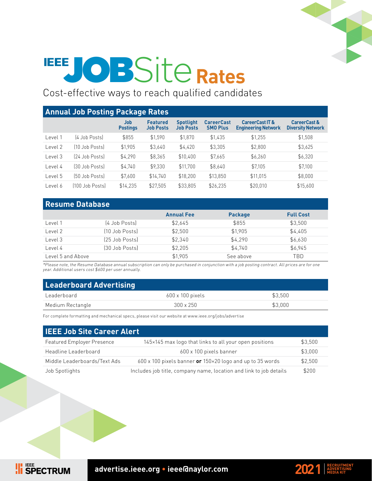

# **EEE JOBSite Rates**

Cost-effective ways to reach qualified candidates

| <b>Annual Job Posting Package Rates</b> |                 |                        |                                     |                                      |                                      |                                                          |                                          |
|-----------------------------------------|-----------------|------------------------|-------------------------------------|--------------------------------------|--------------------------------------|----------------------------------------------------------|------------------------------------------|
|                                         |                 | Job<br><b>Postings</b> | <b>Featured</b><br><b>Job Posts</b> | <b>Spotlight</b><br><b>Job Posts</b> | <b>CareerCast</b><br><b>SMO Plus</b> | <b>CareerCast IT &amp;</b><br><b>Engineering Network</b> | CareerCast &<br><b>Diversity Network</b> |
| Level 1                                 | [4 Job Posts]   | \$855                  | \$1,590                             | \$1,870                              | \$1,435                              | \$1,255                                                  | \$1,508                                  |
| Level 2                                 | 10 Job Postsl   | \$1,905                | \$3,640                             | \$4,420                              | \$3,305                              | \$2,800                                                  | \$3,625                                  |
| Level 3                                 | 24 Job Posts)   | \$4.290                | \$8.365                             | \$10,400                             | \$7,665                              | \$6,260                                                  | \$6,320                                  |
| Level 4                                 | [30 Job Posts]  | \$4.740                | \$9,330                             | \$11.700                             | \$8,640                              | \$7,105                                                  | \$7,100                                  |
| Level 5                                 | (50 Job Posts)  | \$7,600                | \$14,740                            | \$18,200                             | \$13,850                             | \$11,015                                                 | \$8,000                                  |
| Level 6                                 | [100 Job Posts] | \$14,235               | \$27,505                            | \$33,805                             | \$26,235                             | \$20,010                                                 | \$15,600                                 |

#### **Resume Database**

**II** SPECTRUM

|                   |                | <b>Annual Fee</b> | <b>Package</b> | <b>Full Cost</b> |
|-------------------|----------------|-------------------|----------------|------------------|
| Level 1           | (4 Job Posts)  | \$2,645           | \$855          | \$3,500          |
| Level 2           | [10 Job Posts] | \$2,500           | \$1,905        | \$4,405          |
| Level 3           | (25 Job Posts) | \$2,340           | \$4,290        | \$6,630          |
| Level 4           | 30 Job Posts)  | \$2,205           | \$4,740        | \$6,945          |
| Level 5 and Above |                | \$1.905           | See above      | TBD              |

\*Please note, the Resume Database annual subscription can only be purchased in conjunction with a job posting contract. All prices are for one year. Additional users cost \$600 per user annually.

| <b>Leaderboard Advertising</b> |                         |         |  |
|--------------------------------|-------------------------|---------|--|
| Leaderboard                    | $600 \times 100$ pixels | \$3.500 |  |
| Medium Rectangle               | $300 \times 250$        | \$3,000 |  |

For complete formatting and mechanical specs, please visit our website at www.ieee.org/jobs/advertise

| <b>IEEE Job Site Career Alert</b> |                                                                           |         |
|-----------------------------------|---------------------------------------------------------------------------|---------|
| <b>Featured Employer Presence</b> | 145×145 max logo that links to all your open positions                    | \$3,500 |
| Headline Leaderboard              | 600 x 100 pixels banner                                                   | \$3,000 |
| Middle Leaderboards/Text Ads      | $600 \times 100$ pixels banner or $150 \times 20$ logo and up to 35 words | \$2,500 |
| Job Spotlights                    | Includes job title, company name, location and link to job details        | \$200   |

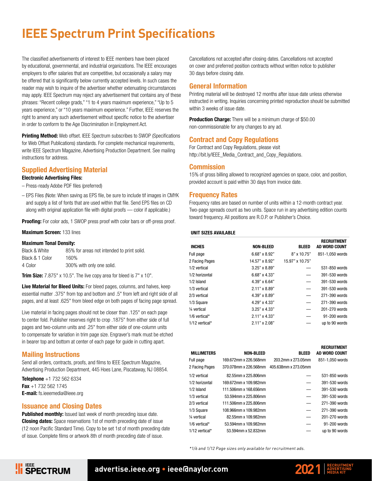#### **IEEE Spectrum Print Specifications**

The classified advertisements of interest to IEEE members have been placed by educational, governmental, and industrial organizations. The IEEE encourages employers to offer salaries that are competitive, but occasionally a salary may be offered that is significantly below currently accepted levels. In such cases the reader may wish to inquire of the advertiser whether extenuating circumstances may apply. IEEE Spectrum may reject any advertisement that contains any of these phrases: "Recent college grads," "1 to 4 years maximum experience," "Up to 5 years experience," or "10 years maximum experience." Further, IEEE reserves the right to amend any such advertisement without specific notice to the advertiser in order to conform to the Age Discrimination in Employment Act.

**Printing Method:** Web offset. IEEE Spectrum subscribes to SWOP (Specifications for Web Offset Publications) standards. For complete mechanical requirements, write IEEE Spectrum Magazine, Advertising Production Department. See mailing instructions for address.

#### Supplied Advertising Material

#### Electronic Advertising Files:

- Press-ready Adobe PDF files (preferred)
- EPS Files (Note: When saving as EPS file, be sure to include tif images in CMYK and supply a list of fonts that are used within that file. Send EPS files on CD along with original application file with digital proofs — color if applicable.)

Proofing: For color ads, 1 SWOP press proof with color bars or off-press proof.

#### Maximum Screen: 133 lines

#### Maximum Tonal Density:

| Black & White   | 85% for areas not intended to print solid. |
|-----------------|--------------------------------------------|
| Black & 1 Color | 160%                                       |
| 4 Color         | 300% with only one solid.                  |

**Trim Size:** 7.875" x 10.5". The live copy area for bleed is 7" x 10".

Live Material for Bleed Units: For bleed pages, columns, and halves, keep essential matter .375" from top and bottom and .5" from left and right side of all pages, and at least .625" from bleed edge on both pages of facing page spread.

Live material in facing pages should not be closer than .125" on each page to center fold. Publisher reserves right to crop .1875" from either side of full pages and two-column units and .25" from either side of one-column units to compensate for variation in trim page size. Engraver's mark must be etched in bearer top and bottom at center of each page for guide in cutting apart.

#### Mailing Instructions

Send all orders, contracts, proofs, and films to IEEE Spectrum Magazine, Advertising Production Department, 445 Hoes Lane, Piscataway, NJ 08854.

Telephone +1 732 562 6334 Fax  $+1$  732 562 1745 E-mail: fs.ieeemedia@ieee.org

#### Issuance and Closing Dates

Published monthly: Issued last week of month preceding issue date. **Closing dates:** Space reservations 1st of month preceding date of issue (12 noon Pacific Standard Time). Copy to be set 1st of month preceding date of issue. Complete films or artwork 8th of month preceding date of issue.

Cancellations not accepted after closing dates. Cancellations not accepted on cover and preferred position contracts without written notice to publisher 30 days before closing date.

#### General Information

Printing material will be destroyed 12 months after issue date unless otherwise instructed in writing. Inquiries concerning printed reproduction should be submitted within 3 weeks of issue date.

**Production Charge:** There will be a minimum charge of \$50.00 non-commissionable for any changes to any ad.

#### Contract and Copy Regulations

For Contract and Copy Regulations, please visit http://bit.ly/IEEE\_Media\_Contract\_and\_Copy\_Regulations.

#### **Commission**

15% of gross billing allowed to recognized agencies on space, color, and position, provided account is paid within 30 days from invoice date.

#### Frequency Rates

Frequency rates are based on number of units within a 12-month contract year. Two-page spreads count as two units. Space run in any advertising edition counts toward frequency. All positions are R.O.P. or Publisher's Choice.

#### UNIT SIZES AVAILABLE

| <b>INCHES</b>            | <b>NON-BLEED</b>     | <b>BLEED</b>             | <b>RECRUITMENT</b><br>AD WORD COUNT |
|--------------------------|----------------------|--------------------------|-------------------------------------|
| Full page                | $6.68" \times 8.92"$ | 8" x 10.75"              | 851-1.050 words                     |
| 2 Facing Pages           | 14.57" x 8.92"       | 15.97" x 10.75"          |                                     |
| 1/2 vertical             | $3.25" \times 8.89"$ |                          | 531-850 words                       |
| 1/2 horizontal           | $6.68" \times 4.33"$ |                          | 391-530 words                       |
| $1/2$ Island             | 4.39" x 6.64"        |                          | 391-530 words                       |
| 1/3 vertical             | $2.11" \times 8.89"$ | $\overline{\phantom{0}}$ | 391-530 words                       |
| 2/3 vertical             | 4.39" x 8.89"        | $\overline{\phantom{0}}$ | 271-390 words                       |
| 1/3 Square               | 4.29" x 4.33"        |                          | 271-390 words                       |
| 1/ <sub>4</sub> vertical | $3.25" \times 4.33"$ |                          | 201-270 words                       |
| $1/6$ vertical*          | $2.11" \times 4.33"$ |                          | 91-200 words                        |
| 1/12 vertical*           | $2.11" \times 2.08"$ |                          | up to 90 words                      |

|                    |                       |                      | <b>RECRUITMENT</b> |
|--------------------|-----------------------|----------------------|--------------------|
| <b>MILLIMETERS</b> | <b>NON-BLEED</b>      | <b>BLEED</b>         | AD WORD COUNT      |
| Full page          | 169.672mm x 226.568mm | 203.2mm x 273.05mm   | 851-1.050 words    |
| 2 Facing Pages     | 370.078mm x 226.568mm | 405.638mm x 273.05mm |                    |
| 1/2 vertical       | 82.55mm x 225.806mm   |                      | 531-850 words      |
| 1/2 horizontal     | 169.672mm x 109.982mm |                      | 391-530 words      |
| 1/2 Island         | 111.506mm x 168.656mm |                      | 391-530 words      |
| 1/3 vertical       | 53.594mm x 225.806mm  |                      | 391-530 words      |
| 2/3 vertical       | 111.506mm x 225.806mm |                      | 271-390 words      |
| 1/3 Square         | 108.966mm x 109.982mm |                      | 271-390 words      |
| 1⁄4 vertical       | 82.55mm x 109.982mm   | –                    | 201-270 words      |
| 1/6 vertical*      | 53.594mm x 109.982mm  |                      | 91-200 words       |
| 1/12 vertical*     | 53.594mm x 52.832mm   |                      | up to 90 words     |
|                    |                       |                      |                    |

\*1/6 and 1/12 Page sizes only available for recruitment ads.



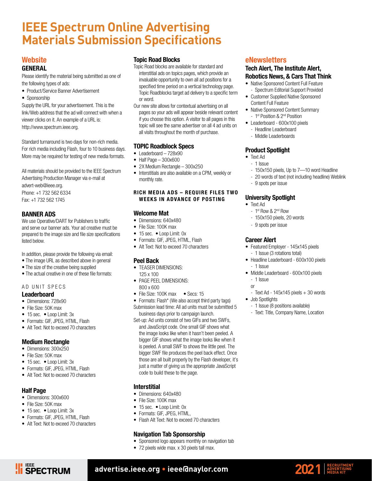#### **IEEE Spectrum Online Advertising Materials Submission Specifications**

#### **Website**

#### GENERAL

Please identify the material being submitted as one of the following types of ads:

- Product/Service Banner Advertisement
- Sponsorship

Supply the URL for your advertisement. This is the link/Web address that the ad will connect with when a viewer clicks on it. An example of a URL is: http://www.spectrum.ieee.org.

Standard turnaround is two days for non-rich media. For rich media including Flash, four to 10 business days. More may be required for testing of new media formats.

All materials should be provided to the IEEE Spectrum Advertising Production Manager via e-mail at advert-web@ieee.org.

Phone: +1 732 562 6334 Fax: +1 732 562 1745

#### BANNER ADS

We use Operative/DART for Publishers to traffic and serve our banner ads. Your ad creative must be prepared to the image size and file size specifications listed below.

In addition, please provide the following via email:

- The image URL as described above in general
- The size of the creative being supplied
- The actual creative in one of these file formats:

#### AD UNIT SPECS

#### Leaderboard

- Dimensions: 728x90
- File Size: 50K max
- 15 sec. Loop Limit: 3x
- Formats: GIF, JPEG, HTML, Flash
- Alt Text: Not to exceed 70 characters

#### Medium Rectangle

- Dimensions: 300x250
- File Size: 50K max
- 15 sec. Loop Limit: 3x
- Formats: GIF, JPEG, HTML, Flash
- Alt Text: Not to exceed 70 characters

#### Half Page

- Dimensions: 300x600
- File Size: 50K max

**HEEE**<br>**HEEE**<br>**SPECTRUM** 

- 15 sec. Loop Limit: 3x
- Formats: GIF, JPEG, HTML, Flash
- Alt Text: Not to exceed 70 characters

#### Topic Road Blocks

- Topic Road blocks are available for standard and interstitial ads on topics pages, which provide an invaluable opportunity to own all ad positions for a specified time period on a vertical technology page. Topic Roadblocks target ad delivery to a specific term or word.
- Our new site allows for contextual advertising on all pages so your ads will appear beside relevant content if you choose this option. A visitor to all pages in this topic will see the same advertiser on all 4 ad units on all visits throughout the month of purchase.

#### TOPIC Roadblock Specs

- Leaderboard 728x90
- Half Page 300x600
- 2X Medium Rectangle 300x250
- Interstitials are also available on a CPM, weekly or monthly rate.

#### RICH MEDIA ADS – REQUIRE FILES TWO WEEKS IN ADVANCE OF POSTING

#### Welcome Mat

- Dimensions: 640x480
- File Size: 100K max
- 15 sec. Loop Limit: 0x
- Formats: GIF, JPEG, HTML, Flash
- Alt Text: Not to exceed 70 characters

#### Peel Back

- TEASER DIMENSIONS:
- 125 x 100 • PAGE PEEL DIMENSIONS: 800 x 600
	-
- File Size: 100K max Secs: 15 • Formats: Flash\* (We also accept third party tags)
- Submission lead time: All ad units must be submitted 5 business days prior to campaign launch.
- Set-up: Ad units consist of two GIFs and two SWFs, and JavaScript code. One small GIF shows what the image looks like when it hasn't been peeled. A bigger GIF shows what the image looks like when it is peeled. A small SWF to shows the little peel. The bigger SWF file produces the peel back effect. Once those are all built properly by the Flash developer, it's just a matter of giving us the appropriate JavaScript code to build these to the page.

#### Interstitial

- Dimensions: 640x480
- File Size: 100K max
- 15 sec. Loop Limit: 0x
- Formats: GIF, JPEG, HTML,
- Flash Alt Text: Not to exceed 70 characters

#### Navigation Tab Sponsorship

- Sponsored logo appears monthly on navigation tab
- 72 pixels wide max. x 30 pixels tall max.

#### eNewsletters

#### Tech Alert, The Institute Alert, Robotics News, & Cars That Think

- Native Sponsored Content Full Feature - Spectrum Editorial Support Provided
- Customer Supplied Native Sponsored Content Full Feature
- Native Sponsored Content Summary
- 1st Position & 2<sup>nd</sup> Position
- Leaderboard 600x100 pixels
	- Headline Leaderboard - Middle Leaderboards

#### Product Spotlight

- Text Ad
	- 1 Issue
	- 150x150 pixels, Up to 7—10 word Headline
	- 20 words of text (not including headline) Weblink
	- 9 spots per issue

#### University Spotlight

- Text Ad
	- 1st Row & 2nd Row
	- 150x150 pixels, 20 words
	- 9 spots per issue

#### Career Alert

- Featured Employer 145x145 pixels - 1 Issue (3 rotations total)
- Headline Leaderboard 600x100 pixels - 1 Issue
- Middle Leaderboard 600x100 pixels - 1 Issue
	- or
- $-$  Text Ad  $-$  145x145 pixels  $+$  30 words • Job Spotlights
	- 1 Issue (8 positions available)
	- Text: Title, Company Name, Location